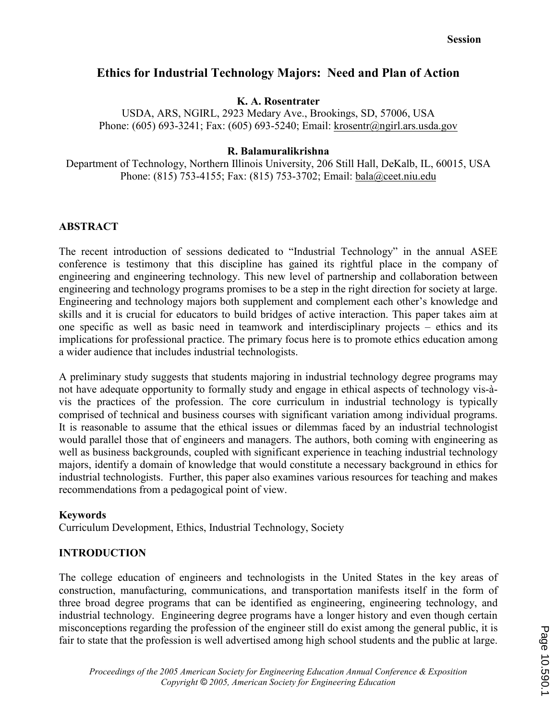# Ethics for Industrial Technology Majors: Need and Plan of Action

## K. A. Rosentrater

USDA, ARS, NGIRL, 2923 Medary Ave., Brookings, SD, 57006, USA Phone: (605) 693-3241; Fax: (605) 693-5240; Email: krosentr@ngirl.ars.usda.gov

#### R. Balamuralikrishna

Department of Technology, Northern Illinois University, 206 Still Hall, DeKalb, IL, 60015, USA Phone: (815) 753-4155; Fax: (815) 753-3702; Email: bala@ceet.niu.edu

## ABSTRACT

The recent introduction of sessions dedicated to "Industrial Technology" in the annual ASEE conference is testimony that this discipline has gained its rightful place in the company of engineering and engineering technology. This new level of partnership and collaboration between engineering and technology programs promises to be a step in the right direction for society at large. Engineering and technology majors both supplement and complement each other's knowledge and skills and it is crucial for educators to build bridges of active interaction. This paper takes aim at one specific as well as basic need in teamwork and interdisciplinary projects – ethics and its implications for professional practice. The primary focus here is to promote ethics education among a wider audience that includes industrial technologists.

A preliminary study suggests that students majoring in industrial technology degree programs may not have adequate opportunity to formally study and engage in ethical aspects of technology vis-àvis the practices of the profession. The core curriculum in industrial technology is typically comprised of technical and business courses with significant variation among individual programs. It is reasonable to assume that the ethical issues or dilemmas faced by an industrial technologist would parallel those that of engineers and managers. The authors, both coming with engineering as well as business backgrounds, coupled with significant experience in teaching industrial technology majors, identify a domain of knowledge that would constitute a necessary background in ethics for industrial technologists. Further, this paper also examines various resources for teaching and makes recommendations from a pedagogical point of view.

#### Keywords

Curriculum Development, Ethics, Industrial Technology, Society

## INTRODUCTION

The college education of engineers and technologists in the United States in the key areas of construction, manufacturing, communications, and transportation manifests itself in the form of three broad degree programs that can be identified as engineering, engineering technology, and industrial technology. Engineering degree programs have a longer history and even though certain misconceptions regarding the profession of the engineer still do exist among the general public, it is fair to state that the profession is well advertised among high school students and the public at large.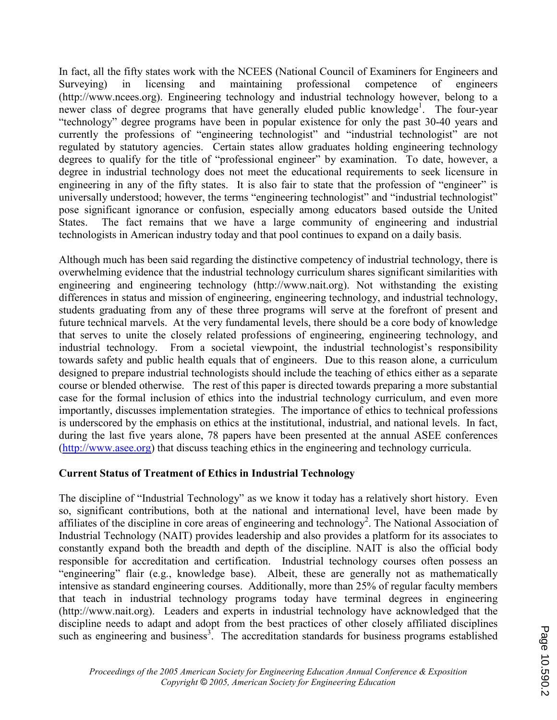In fact, all the fifty states work with the NCEES (National Council of Examiners for Engineers and Surveying) in licensing and maintaining professional competence of engineers (http://www.ncees.org). Engineering technology and industrial technology however, belong to a newer class of degree programs that have generally eluded public knowledge<sup>1</sup>. The four-year "technology" degree programs have been in popular existence for only the past 30-40 years and currently the professions of "engineering technologist" and "industrial technologist" are not regulated by statutory agencies. Certain states allow graduates holding engineering technology degrees to qualify for the title of "professional engineer" by examination. To date, however, a degree in industrial technology does not meet the educational requirements to seek licensure in engineering in any of the fifty states. It is also fair to state that the profession of "engineer" is universally understood; however, the terms "engineering technologist" and "industrial technologist" pose significant ignorance or confusion, especially among educators based outside the United States. The fact remains that we have a large community of engineering and industrial technologists in American industry today and that pool continues to expand on a daily basis.

Although much has been said regarding the distinctive competency of industrial technology, there is overwhelming evidence that the industrial technology curriculum shares significant similarities with engineering and engineering technology (http://www.nait.org). Not withstanding the existing differences in status and mission of engineering, engineering technology, and industrial technology, students graduating from any of these three programs will serve at the forefront of present and future technical marvels. At the very fundamental levels, there should be a core body of knowledge that serves to unite the closely related professions of engineering, engineering technology, and industrial technology. From a societal viewpoint, the industrial technologist's responsibility towards safety and public health equals that of engineers. Due to this reason alone, a curriculum designed to prepare industrial technologists should include the teaching of ethics either as a separate course or blended otherwise. The rest of this paper is directed towards preparing a more substantial case for the formal inclusion of ethics into the industrial technology curriculum, and even more importantly, discusses implementation strategies. The importance of ethics to technical professions is underscored by the emphasis on ethics at the institutional, industrial, and national levels. In fact, during the last five years alone, 78 papers have been presented at the annual ASEE conferences (http://www.asee.org) that discuss teaching ethics in the engineering and technology curricula.

# Current Status of Treatment of Ethics in Industrial Technology

The discipline of "Industrial Technology" as we know it today has a relatively short history. Even so, significant contributions, both at the national and international level, have been made by affiliates of the discipline in core areas of engineering and technology<sup>2</sup>. The National Association of Industrial Technology (NAIT) provides leadership and also provides a platform for its associates to constantly expand both the breadth and depth of the discipline. NAIT is also the official body responsible for accreditation and certification. Industrial technology courses often possess an "engineering" flair (e.g., knowledge base). Albeit, these are generally not as mathematically intensive as standard engineering courses. Additionally, more than 25% of regular faculty members that teach in industrial technology programs today have terminal degrees in engineering (http://www.nait.org). Leaders and experts in industrial technology have acknowledged that the discipline needs to adapt and adopt from the best practices of other closely affiliated disciplines such as engineering and business<sup>3</sup>. The accreditation standards for business programs established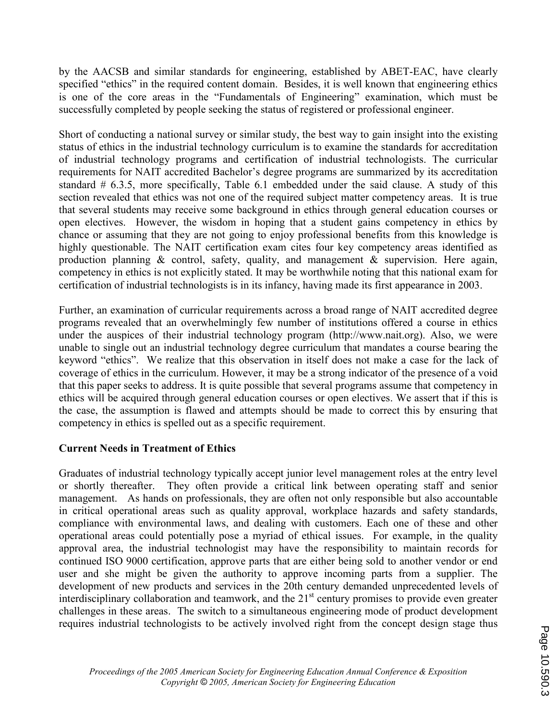by the AACSB and similar standards for engineering, established by ABET-EAC, have clearly specified "ethics" in the required content domain. Besides, it is well known that engineering ethics is one of the core areas in the "Fundamentals of Engineering" examination, which must be successfully completed by people seeking the status of registered or professional engineer.

Short of conducting a national survey or similar study, the best way to gain insight into the existing status of ethics in the industrial technology curriculum is to examine the standards for accreditation of industrial technology programs and certification of industrial technologists. The curricular requirements for NAIT accredited Bachelor's degree programs are summarized by its accreditation standard # 6.3.5, more specifically, Table 6.1 embedded under the said clause. A study of this section revealed that ethics was not one of the required subject matter competency areas. It is true that several students may receive some background in ethics through general education courses or open electives. However, the wisdom in hoping that a student gains competency in ethics by chance or assuming that they are not going to enjoy professional benefits from this knowledge is highly questionable. The NAIT certification exam cites four key competency areas identified as production planning & control, safety, quality, and management & supervision. Here again, competency in ethics is not explicitly stated. It may be worthwhile noting that this national exam for certification of industrial technologists is in its infancy, having made its first appearance in 2003.

Further, an examination of curricular requirements across a broad range of NAIT accredited degree programs revealed that an overwhelmingly few number of institutions offered a course in ethics under the auspices of their industrial technology program (http://www.nait.org). Also, we were unable to single out an industrial technology degree curriculum that mandates a course bearing the keyword "ethics". We realize that this observation in itself does not make a case for the lack of coverage of ethics in the curriculum. However, it may be a strong indicator of the presence of a void that this paper seeks to address. It is quite possible that several programs assume that competency in ethics will be acquired through general education courses or open electives. We assert that if this is the case, the assumption is flawed and attempts should be made to correct this by ensuring that competency in ethics is spelled out as a specific requirement.

# Current Needs in Treatment of Ethics

Graduates of industrial technology typically accept junior level management roles at the entry level or shortly thereafter. They often provide a critical link between operating staff and senior management. As hands on professionals, they are often not only responsible but also accountable in critical operational areas such as quality approval, workplace hazards and safety standards, compliance with environmental laws, and dealing with customers. Each one of these and other operational areas could potentially pose a myriad of ethical issues. For example, in the quality approval area, the industrial technologist may have the responsibility to maintain records for continued ISO 9000 certification, approve parts that are either being sold to another vendor or end user and she might be given the authority to approve incoming parts from a supplier. The development of new products and services in the 20th century demanded unprecedented levels of interdisciplinary collaboration and teamwork, and the 21<sup>st</sup> century promises to provide even greater challenges in these areas. The switch to a simultaneous engineering mode of product development requires industrial technologists to be actively involved right from the concept design stage thus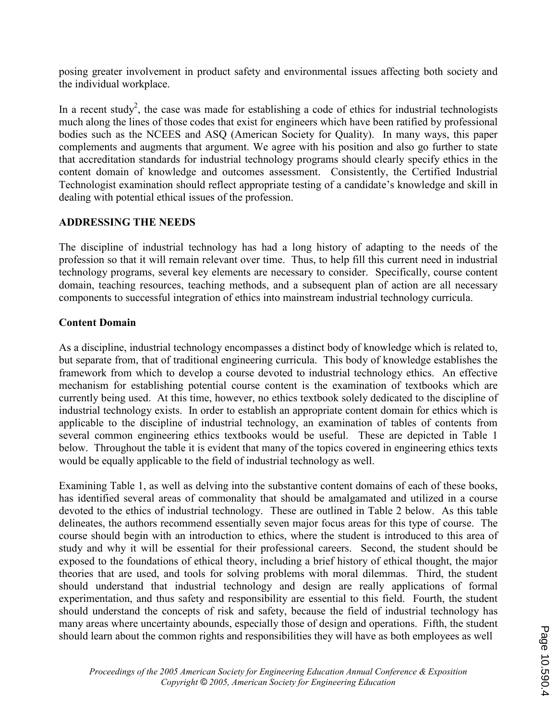posing greater involvement in product safety and environmental issues affecting both society and the individual workplace.

In a recent study<sup>2</sup>, the case was made for establishing a code of ethics for industrial technologists much along the lines of those codes that exist for engineers which have been ratified by professional bodies such as the NCEES and ASQ (American Society for Quality). In many ways, this paper complements and augments that argument. We agree with his position and also go further to state that accreditation standards for industrial technology programs should clearly specify ethics in the content domain of knowledge and outcomes assessment. Consistently, the Certified Industrial Technologist examination should reflect appropriate testing of a candidate's knowledge and skill in dealing with potential ethical issues of the profession.

## ADDRESSING THE NEEDS

The discipline of industrial technology has had a long history of adapting to the needs of the profession so that it will remain relevant over time. Thus, to help fill this current need in industrial technology programs, several key elements are necessary to consider. Specifically, course content domain, teaching resources, teaching methods, and a subsequent plan of action are all necessary components to successful integration of ethics into mainstream industrial technology curricula.

### Content Domain

As a discipline, industrial technology encompasses a distinct body of knowledge which is related to, but separate from, that of traditional engineering curricula. This body of knowledge establishes the framework from which to develop a course devoted to industrial technology ethics. An effective mechanism for establishing potential course content is the examination of textbooks which are currently being used. At this time, however, no ethics textbook solely dedicated to the discipline of industrial technology exists. In order to establish an appropriate content domain for ethics which is applicable to the discipline of industrial technology, an examination of tables of contents from several common engineering ethics textbooks would be useful. These are depicted in Table 1 below. Throughout the table it is evident that many of the topics covered in engineering ethics texts would be equally applicable to the field of industrial technology as well.

Examining Table 1, as well as delving into the substantive content domains of each of these books, has identified several areas of commonality that should be amalgamated and utilized in a course devoted to the ethics of industrial technology. These are outlined in Table 2 below. As this table delineates, the authors recommend essentially seven major focus areas for this type of course. The course should begin with an introduction to ethics, where the student is introduced to this area of study and why it will be essential for their professional careers. Second, the student should be exposed to the foundations of ethical theory, including a brief history of ethical thought, the major theories that are used, and tools for solving problems with moral dilemmas. Third, the student should understand that industrial technology and design are really applications of formal experimentation, and thus safety and responsibility are essential to this field. Fourth, the student should understand the concepts of risk and safety, because the field of industrial technology has many areas where uncertainty abounds, especially those of design and operations. Fifth, the student should learn about the common rights and responsibilities they will have as both employees as well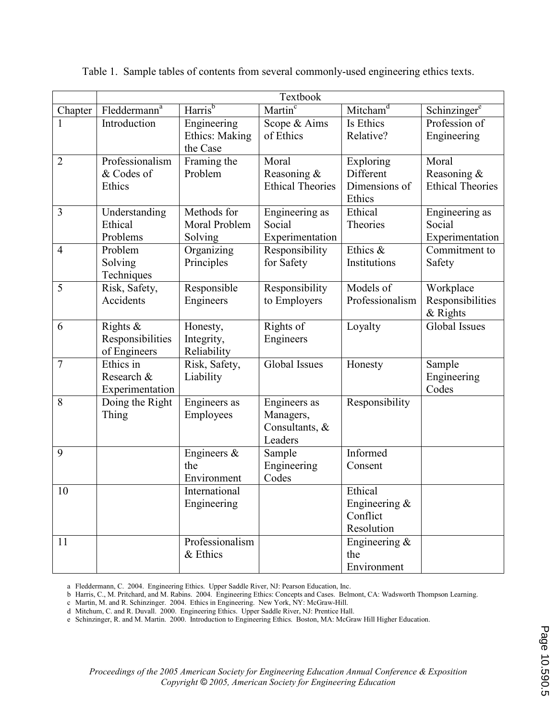|                |                                 |                        | Textbook                               |                            |                                        |
|----------------|---------------------------------|------------------------|----------------------------------------|----------------------------|----------------------------------------|
| Chapter        | $F$ leddermann <sup>a</sup>     | Harris <sup>b</sup>    | Martin $\overline{\text{}}^{\text{c}}$ | Mitcham <sup>d</sup>       | Schinzingere                           |
|                | Introduction                    | Engineering            | Scope & Aims                           | Is Ethics                  | Profession of                          |
|                |                                 | Ethics: Making         | of Ethics                              | Relative?                  | Engineering                            |
|                |                                 | the Case               |                                        |                            |                                        |
| $\overline{2}$ | Professionalism                 | Framing the            | Moral                                  | Exploring                  | Moral                                  |
|                | & Codes of                      | Problem                | Reasoning &<br><b>Ethical Theories</b> | Different<br>Dimensions of | Reasoning &<br><b>Ethical Theories</b> |
|                | Ethics                          |                        |                                        | Ethics                     |                                        |
| 3              | Understanding                   | Methods for            | Engineering as                         | Ethical                    | Engineering as                         |
|                | Ethical                         | Moral Problem          | Social                                 | Theories                   | Social                                 |
|                | Problems                        | Solving                | Experimentation                        |                            | Experimentation                        |
| $\overline{4}$ | Problem                         | Organizing             | Responsibility                         | Ethics &                   | Commitment to                          |
|                | Solving                         | Principles             | for Safety                             | Institutions               | Safety                                 |
|                | Techniques                      |                        |                                        |                            |                                        |
| 5              | Risk, Safety,                   | Responsible            | Responsibility                         | Models of                  | Workplace                              |
|                | Accidents                       | Engineers              | to Employers                           | Professionalism            | Responsibilities                       |
|                |                                 |                        |                                        |                            | $&$ Rights<br><b>Global Issues</b>     |
| 6              | Rights $\&$<br>Responsibilities | Honesty,<br>Integrity, | Rights of<br>Engineers                 | Loyalty                    |                                        |
|                | of Engineers                    | Reliability            |                                        |                            |                                        |
| $\overline{7}$ | $Ethics$ in                     | Risk, Safety,          | Global Issues                          | Honesty                    | Sample                                 |
|                | Research &                      | Liability              |                                        |                            | Engineering                            |
|                | Experimentation                 |                        |                                        |                            | Codes                                  |
| 8              | Doing the Right                 | Engineers as           | Engineers as                           | Responsibility             |                                        |
|                | Thing                           | Employees              | Managers,                              |                            |                                        |
|                |                                 |                        | Consultants, &                         |                            |                                        |
| 9              |                                 |                        | Leaders                                | Informed                   |                                        |
|                |                                 | Engineers $\&$<br>the  | Sample<br>Engineering                  | Consent                    |                                        |
|                |                                 | Environment            | Codes                                  |                            |                                        |
| 10             |                                 | International          |                                        | Ethical                    |                                        |
|                |                                 | Engineering            |                                        | Engineering $\&$           |                                        |
|                |                                 |                        |                                        | Conflict                   |                                        |
|                |                                 |                        |                                        | Resolution                 |                                        |
| 11             |                                 | Professionalism        |                                        | Engineering $\&$           |                                        |
|                |                                 | & Ethics               |                                        | the                        |                                        |
|                |                                 |                        |                                        | Environment                |                                        |

Table 1. Sample tables of contents from several commonly-used engineering ethics texts.

a Fleddermann, C. 2004. Engineering Ethics. Upper Saddle River, NJ: Pearson Education, Inc.

b Harris, C., M. Pritchard, and M. Rabins. 2004. Engineering Ethics: Concepts and Cases. Belmont, CA: Wadsworth Thompson Learning.

c Martin, M. and R. Schinzinger. 2004. Ethics in Engineering. New York, NY: McGraw-Hill.

d Mitchum, C. and R. Duvall. 2000. Engineering Ethics. Upper Saddle River, NJ: Prentice Hall.

e Schinzinger, R. and M. Martin. 2000. Introduction to Engineering Ethics. Boston, MA: McGraw Hill Higher Education.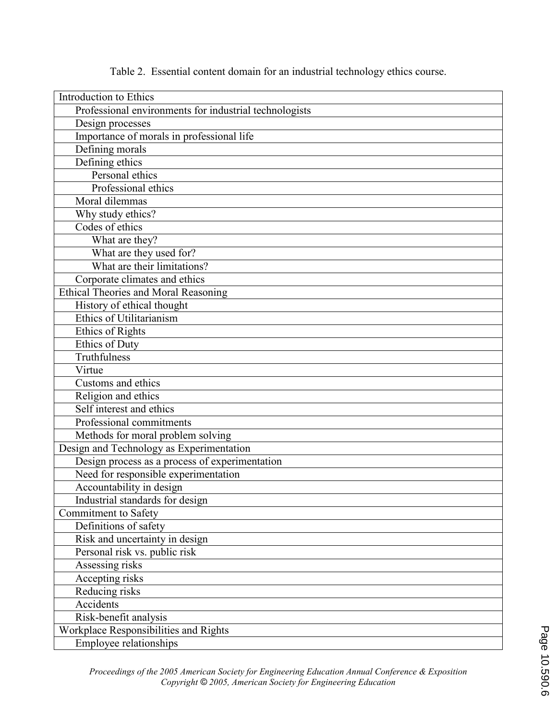| Introduction to Ethics                                 |
|--------------------------------------------------------|
| Professional environments for industrial technologists |
| Design processes                                       |
| Importance of morals in professional life              |
| Defining morals                                        |
| Defining ethics                                        |
| Personal ethics                                        |
| Professional ethics                                    |
| Moral dilemmas                                         |
| Why study ethics?                                      |
| Codes of ethics                                        |
| What are they?                                         |
| What are they used for?                                |
| What are their limitations?                            |
| Corporate climates and ethics                          |
| Ethical Theories and Moral Reasoning                   |
| History of ethical thought                             |
| Ethics of Utilitarianism                               |
| Ethics of Rights                                       |
| <b>Ethics of Duty</b>                                  |
| Truthfulness                                           |
| Virtue                                                 |
| Customs and ethics                                     |
| Religion and ethics                                    |
| Self interest and ethics                               |
| Professional commitments                               |
| Methods for moral problem solving                      |
| Design and Technology as Experimentation               |
| Design process as a process of experimentation         |
| Need for responsible experimentation                   |
| Accountability in design                               |
| Industrial standards for design                        |
| Commitment to Safety                                   |
| Definitions of safety                                  |
| Risk and uncertainty in design                         |
| Personal risk vs. public risk                          |
| Assessing risks                                        |
| Accepting risks                                        |
| Reducing risks                                         |
| Accidents                                              |
| Risk-benefit analysis                                  |
| Workplace Responsibilities and Rights                  |
| Employee relationships                                 |

Table 2. Essential content domain for an industrial technology ethics course.

Proceedings of the 2005 American Society for Engineering Education Annual Conference & Exposition Copyright © 2005, American Society for Engineering Education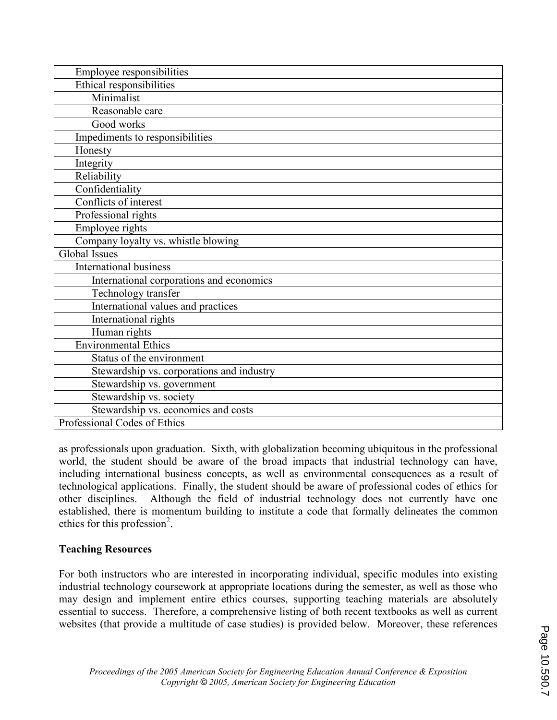| Employee responsibilities                 |
|-------------------------------------------|
| Ethical responsibilities                  |
| Minimalist                                |
| Reasonable care                           |
| Good works                                |
| Impediments to responsibilities           |
| Honesty                                   |
| Integrity                                 |
| Reliability                               |
| Confidentiality                           |
| Conflicts of interest                     |
| Professional rights                       |
| Employee rights                           |
| Company loyalty vs. whistle blowing       |
| Global Issues                             |
| <b>International business</b>             |
| International corporations and economics  |
| Technology transfer                       |
| International values and practices        |
| International rights                      |
| Human rights                              |
| <b>Environmental Ethics</b>               |
| Status of the environment                 |
| Stewardship vs. corporations and industry |
| Stewardship vs. government                |
| Stewardship vs. society                   |
| Stewardship vs. economics and costs       |
| Professional Codes of Ethics              |

as professionals upon graduation. Sixth, with globalization becoming ubiquitous in the professional world, the student should be aware of the broad impacts that industrial technology can have, including international business concepts, as well as environmental consequences as a result of technological applications. Finally, the student should be aware of professional codes of ethics for other disciplines. Although the field of industrial technology does not currently have one established, there is momentum building to institute a code that formally delineates the common ethics for this profession<sup>2</sup>.

## Teaching Resources

For both instructors who are interested in incorporating individual, specific modules into existing industrial technology coursework at appropriate locations during the semester, as well as those who may design and implement entire ethics courses, supporting teaching materials are absolutely essential to success. Therefore, a comprehensive listing of both recent textbooks as well as current websites (that provide a multitude of case studies) is provided below. Moreover, these references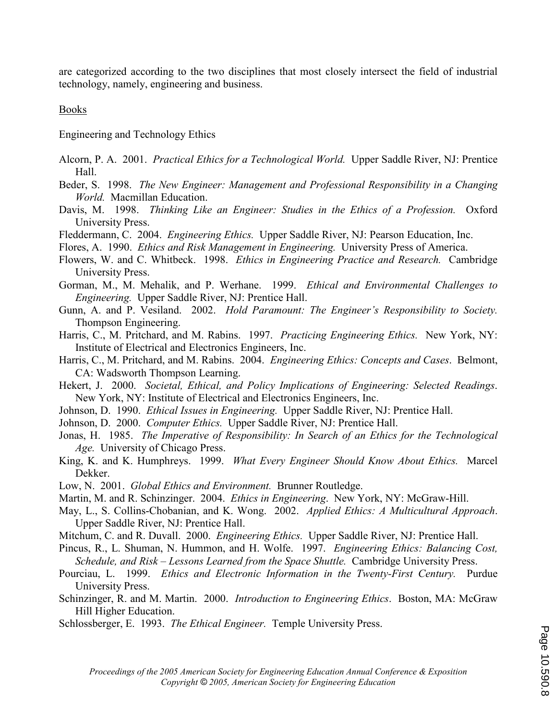are categorized according to the two disciplines that most closely intersect the field of industrial technology, namely, engineering and business.

Books

Engineering and Technology Ethics

- Alcorn, P. A. 2001. Practical Ethics for a Technological World. Upper Saddle River, NJ: Prentice Hall.
- Beder, S. 1998. The New Engineer: Management and Professional Responsibility in a Changing World. Macmillan Education.
- Davis, M. 1998. Thinking Like an Engineer: Studies in the Ethics of a Profession. Oxford University Press.
- Fleddermann, C. 2004. Engineering Ethics. Upper Saddle River, NJ: Pearson Education, Inc.

Flores, A. 1990. Ethics and Risk Management in Engineering. University Press of America.

- Flowers, W. and C. Whitbeck. 1998. Ethics in Engineering Practice and Research. Cambridge University Press.
- Gorman, M., M. Mehalik, and P. Werhane. 1999. Ethical and Environmental Challenges to Engineering. Upper Saddle River, NJ: Prentice Hall.
- Gunn, A. and P. Vesiland. 2002. Hold Paramount: The Engineer's Responsibility to Society. Thompson Engineering.
- Harris, C., M. Pritchard, and M. Rabins. 1997. Practicing Engineering Ethics. New York, NY: Institute of Electrical and Electronics Engineers, Inc.
- Harris, C., M. Pritchard, and M. Rabins. 2004. Engineering Ethics: Concepts and Cases. Belmont, CA: Wadsworth Thompson Learning.
- Hekert, J. 2000. Societal, Ethical, and Policy Implications of Engineering: Selected Readings. New York, NY: Institute of Electrical and Electronics Engineers, Inc.
- Johnson, D. 1990. Ethical Issues in Engineering. Upper Saddle River, NJ: Prentice Hall.
- Johnson, D. 2000. Computer Ethics. Upper Saddle River, NJ: Prentice Hall.
- Jonas, H. 1985. The Imperative of Responsibility: In Search of an Ethics for the Technological Age. University of Chicago Press.
- King, K. and K. Humphreys. 1999. What Every Engineer Should Know About Ethics. Marcel Dekker.
- Low, N. 2001. Global Ethics and Environment. Brunner Routledge.
- Martin, M. and R. Schinzinger. 2004. *Ethics in Engineering.* New York, NY: McGraw-Hill.
- May, L., S. Collins-Chobanian, and K. Wong. 2002. Applied Ethics: A Multicultural Approach. Upper Saddle River, NJ: Prentice Hall.
- Mitchum, C. and R. Duvall. 2000. *Engineering Ethics*. Upper Saddle River, NJ: Prentice Hall.
- Pincus, R., L. Shuman, N. Hummon, and H. Wolfe. 1997. Engineering Ethics: Balancing Cost, Schedule, and Risk – Lessons Learned from the Space Shuttle. Cambridge University Press.
- Pourciau, L. 1999. Ethics and Electronic Information in the Twenty-First Century. Purdue University Press.
- Schinzinger, R. and M. Martin. 2000. *Introduction to Engineering Ethics*. Boston, MA: McGraw Hill Higher Education.
- Schlossberger, E. 1993. The Ethical Engineer. Temple University Press.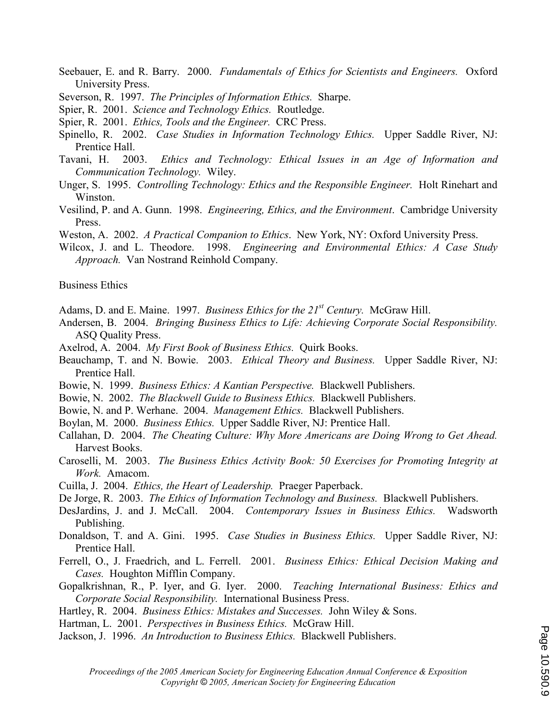- Seebauer, E. and R. Barry. 2000. Fundamentals of Ethics for Scientists and Engineers. Oxford University Press.
- Severson, R. 1997. The Principles of Information Ethics. Sharpe.
- Spier, R. 2001. Science and Technology Ethics. Routledge.
- Spier, R. 2001. *Ethics, Tools and the Engineer.* CRC Press.
- Spinello, R. 2002. Case Studies in Information Technology Ethics. Upper Saddle River, NJ: Prentice Hall.
- Tavani, H. 2003. Ethics and Technology: Ethical Issues in an Age of Information and Communication Technology. Wiley.
- Unger, S. 1995. Controlling Technology: Ethics and the Responsible Engineer. Holt Rinehart and Winston.
- Vesilind, P. and A. Gunn. 1998. Engineering, Ethics, and the Environment. Cambridge University Press.
- Weston, A. 2002. A Practical Companion to Ethics. New York, NY: Oxford University Press.
- Wilcox, J. and L. Theodore. 1998. Engineering and Environmental Ethics: A Case Study Approach. Van Nostrand Reinhold Company.

Business Ethics

Adams, D. and E. Maine. 1997. Business Ethics for the  $21^{st}$  Century. McGraw Hill.

- Andersen, B. 2004. Bringing Business Ethics to Life: Achieving Corporate Social Responsibility. ASQ Quality Press.
- Axelrod, A. 2004. My First Book of Business Ethics. Quirk Books.
- Beauchamp, T. and N. Bowie. 2003. *Ethical Theory and Business*. Upper Saddle River, NJ: Prentice Hall.
- Bowie, N. 1999. Business Ethics: A Kantian Perspective. Blackwell Publishers.
- Bowie, N. 2002. The Blackwell Guide to Business Ethics. Blackwell Publishers.
- Bowie, N. and P. Werhane. 2004. Management Ethics. Blackwell Publishers.
- Boylan, M. 2000. Business Ethics. Upper Saddle River, NJ: Prentice Hall.
- Callahan, D. 2004. The Cheating Culture: Why More Americans are Doing Wrong to Get Ahead. Harvest Books.
- Caroselli, M. 2003. The Business Ethics Activity Book: 50 Exercises for Promoting Integrity at Work. Amacom.
- Cuilla, J. 2004. Ethics, the Heart of Leadership. Praeger Paperback.
- De Jorge, R. 2003. The Ethics of Information Technology and Business. Blackwell Publishers.
- DesJardins, J. and J. McCall. 2004. Contemporary Issues in Business Ethics. Wadsworth Publishing.
- Donaldson, T. and A. Gini. 1995. *Case Studies in Business Ethics*. Upper Saddle River, NJ: Prentice Hall.
- Ferrell, O., J. Fraedrich, and L. Ferrell. 2001. Business Ethics: Ethical Decision Making and Cases. Houghton Mifflin Company.
- Gopalkrishnan, R., P. Iyer, and G. Iyer. 2000. Teaching International Business: Ethics and Corporate Social Responsibility. International Business Press.
- Hartley, R. 2004. *Business Ethics: Mistakes and Successes*. John Wiley & Sons.
- Hartman, L. 2001. Perspectives in Business Ethics. McGraw Hill.
- Jackson, J. 1996. An Introduction to Business Ethics. Blackwell Publishers.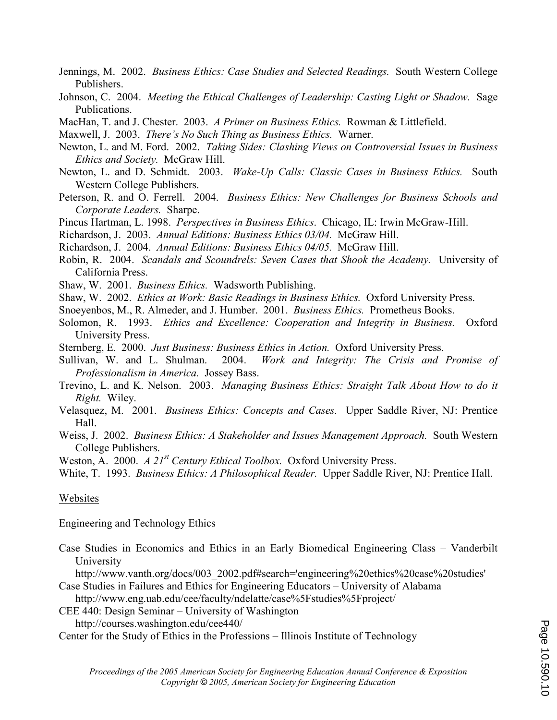- Jennings, M. 2002. Business Ethics: Case Studies and Selected Readings. South Western College Publishers.
- Johnson, C. 2004. Meeting the Ethical Challenges of Leadership: Casting Light or Shadow. Sage Publications.
- MacHan, T. and J. Chester. 2003. A Primer on Business Ethics. Rowman & Littlefield.
- Maxwell, J. 2003. There's No Such Thing as Business Ethics. Warner.
- Newton, L. and M. Ford. 2002. Taking Sides: Clashing Views on Controversial Issues in Business Ethics and Society. McGraw Hill.
- Newton, L. and D. Schmidt. 2003. Wake-Up Calls: Classic Cases in Business Ethics. South Western College Publishers.
- Peterson, R. and O. Ferrell. 2004. Business Ethics: New Challenges for Business Schools and Corporate Leaders. Sharpe.
- Pincus Hartman, L. 1998. Perspectives in Business Ethics. Chicago, IL: Irwin McGraw-Hill.

Richardson, J. 2003. Annual Editions: Business Ethics 03/04. McGraw Hill.

Richardson, J. 2004. Annual Editions: Business Ethics 04/05. McGraw Hill.

- Robin, R. 2004. Scandals and Scoundrels: Seven Cases that Shook the Academy. University of California Press.
- Shaw, W. 2001. Business Ethics. Wadsworth Publishing.
- Shaw, W. 2002. *Ethics at Work: Basic Readings in Business Ethics*. Oxford University Press.
- Snoeyenbos, M., R. Almeder, and J. Humber. 2001. Business Ethics. Prometheus Books.
- Solomon, R. 1993. Ethics and Excellence: Cooperation and Integrity in Business. Oxford University Press.
- Sternberg, E. 2000. Just Business: Business Ethics in Action. Oxford University Press.
- Sullivan, W. and L. Shulman. 2004. Work and Integrity: The Crisis and Promise of Professionalism in America. Jossey Bass.
- Trevino, L. and K. Nelson. 2003. Managing Business Ethics: Straight Talk About How to do it Right. Wiley.
- Velasquez, M. 2001. Business Ethics: Concepts and Cases. Upper Saddle River, NJ: Prentice Hall.
- Weiss, J. 2002. Business Ethics: A Stakeholder and Issues Management Approach. South Western College Publishers.
- Weston, A. 2000. A  $2I^{st}$  Century Ethical Toolbox. Oxford University Press.
- White, T. 1993. Business Ethics: A Philosophical Reader. Upper Saddle River, NJ: Prentice Hall.

## Websites

Engineering and Technology Ethics

Case Studies in Economics and Ethics in an Early Biomedical Engineering Class – Vanderbilt University

http://www.vanth.org/docs/003\_2002.pdf#search='engineering%20ethics%20case%20studies'

- Case Studies in Failures and Ethics for Engineering Educators University of Alabama http://www.eng.uab.edu/cee/faculty/ndelatte/case%5Fstudies%5Fproject/
- CEE 440: Design Seminar University of Washington

http://courses.washington.edu/cee440/

Center for the Study of Ethics in the Professions – Illinois Institute of Technology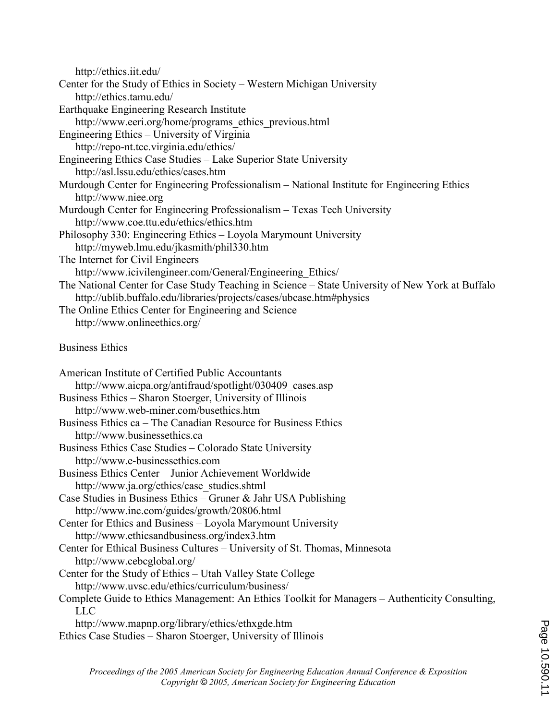| http://ethics.iit.edu/                                                                                   |
|----------------------------------------------------------------------------------------------------------|
| Center for the Study of Ethics in Society – Western Michigan University                                  |
| http://ethics.tamu.edu/                                                                                  |
| <b>Earthquake Engineering Research Institute</b>                                                         |
| http://www.eeri.org/home/programs ethics previous.html                                                   |
| Engineering Ethics - University of Virginia                                                              |
| http://repo-nt.tcc.virginia.edu/ethics/                                                                  |
| Engineering Ethics Case Studies – Lake Superior State University                                         |
| http://asl.lssu.edu/ethics/cases.htm                                                                     |
| Murdough Center for Engineering Professionalism – National Institute for Engineering Ethics              |
| http://www.niee.org                                                                                      |
| Murdough Center for Engineering Professionalism - Texas Tech University                                  |
| http://www.coe.ttu.edu/ethics/ethics.htm                                                                 |
| Philosophy 330: Engineering Ethics - Loyola Marymount University                                         |
| http://myweb.lmu.edu/jkasmith/phil330.htm                                                                |
| The Internet for Civil Engineers                                                                         |
| http://www.icivilengineer.com/General/Engineering Ethics/                                                |
| The National Center for Case Study Teaching in Science – State University of New York at Buffalo         |
| http://ublib.buffalo.edu/libraries/projects/cases/ubcase.htm#physics                                     |
| The Online Ethics Center for Engineering and Science                                                     |
| http://www.onlineethics.org/                                                                             |
| <b>Business Ethics</b>                                                                                   |
| American Institute of Certified Public Accountants                                                       |
| http://www.aicpa.org/antifraud/spotlight/030409 cases.asp                                                |
| Business Ethics - Sharon Stoerger, University of Illinois                                                |
| http://www.web-miner.com/busethics.htm                                                                   |
| Business Ethics ca – The Canadian Resource for Business Ethics                                           |
| http://www.businessethics.ca                                                                             |
| Business Ethics Case Studies - Colorado State University                                                 |
|                                                                                                          |
|                                                                                                          |
| http://www.e-businessethics.com                                                                          |
| Business Ethics Center - Junior Achievement Worldwide                                                    |
| http://www.ja.org/ethics/case studies.shtml                                                              |
| Case Studies in Business Ethics – Gruner & Jahr USA Publishing                                           |
| http://www.inc.com/guides/growth/20806.html                                                              |
| Center for Ethics and Business - Loyola Marymount University                                             |
| http://www.ethicsandbusiness.org/index3.htm                                                              |
| Center for Ethical Business Cultures - University of St. Thomas, Minnesota<br>http://www.cebcglobal.org/ |
| Center for the Study of Ethics – Utah Valley State College                                               |
| http://www.uvsc.edu/ethics/curriculum/business/                                                          |
| Complete Guide to Ethics Management: An Ethics Toolkit for Managers - Authenticity Consulting,           |
| <b>LLC</b>                                                                                               |
| http://www.mapnp.org/library/ethics/ethxgde.htm                                                          |
| Ethics Case Studies – Sharon Stoerger, University of Illinois                                            |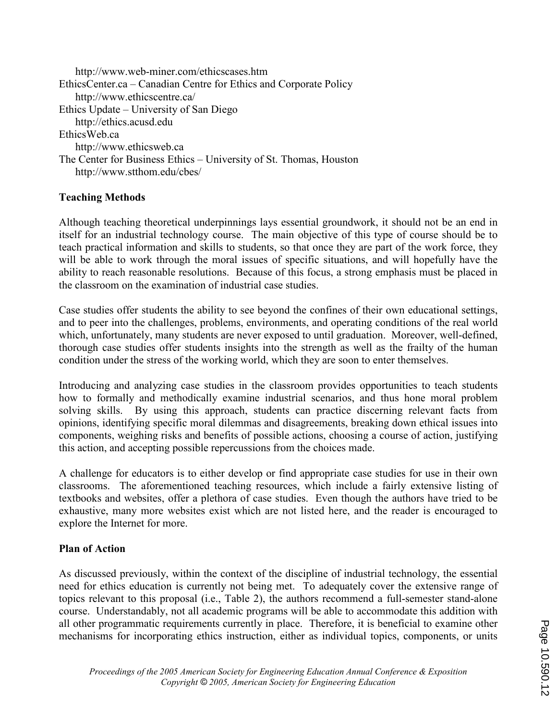http://www.web-miner.com/ethicscases.htm EthicsCenter.ca – Canadian Centre for Ethics and Corporate Policy http://www.ethicscentre.ca/ Ethics Update – University of San Diego http://ethics.acusd.edu EthicsWeb.ca http://www.ethicsweb.ca The Center for Business Ethics – University of St. Thomas, Houston http://www.stthom.edu/cbes/

## Teaching Methods

Although teaching theoretical underpinnings lays essential groundwork, it should not be an end in itself for an industrial technology course. The main objective of this type of course should be to teach practical information and skills to students, so that once they are part of the work force, they will be able to work through the moral issues of specific situations, and will hopefully have the ability to reach reasonable resolutions. Because of this focus, a strong emphasis must be placed in the classroom on the examination of industrial case studies.

Case studies offer students the ability to see beyond the confines of their own educational settings, and to peer into the challenges, problems, environments, and operating conditions of the real world which, unfortunately, many students are never exposed to until graduation. Moreover, well-defined, thorough case studies offer students insights into the strength as well as the frailty of the human condition under the stress of the working world, which they are soon to enter themselves.

Introducing and analyzing case studies in the classroom provides opportunities to teach students how to formally and methodically examine industrial scenarios, and thus hone moral problem solving skills. By using this approach, students can practice discerning relevant facts from opinions, identifying specific moral dilemmas and disagreements, breaking down ethical issues into components, weighing risks and benefits of possible actions, choosing a course of action, justifying this action, and accepting possible repercussions from the choices made.

A challenge for educators is to either develop or find appropriate case studies for use in their own classrooms. The aforementioned teaching resources, which include a fairly extensive listing of textbooks and websites, offer a plethora of case studies. Even though the authors have tried to be exhaustive, many more websites exist which are not listed here, and the reader is encouraged to explore the Internet for more.

## Plan of Action

As discussed previously, within the context of the discipline of industrial technology, the essential need for ethics education is currently not being met. To adequately cover the extensive range of topics relevant to this proposal (i.e., Table 2), the authors recommend a full-semester stand-alone course. Understandably, not all academic programs will be able to accommodate this addition with all other programmatic requirements currently in place. Therefore, it is beneficial to examine other mechanisms for incorporating ethics instruction, either as individual topics, components, or units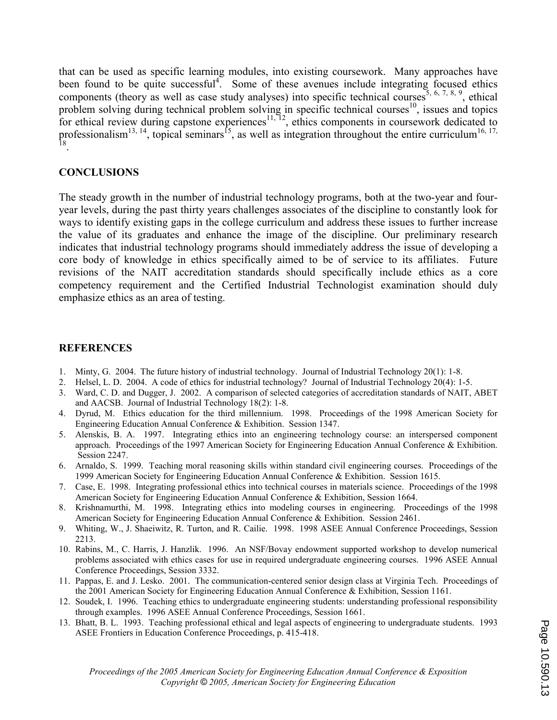that can be used as specific learning modules, into existing coursework. Many approaches have been found to be quite successful<sup>4</sup>. Some of these avenues include integrating focused ethics components (theory as well as case study analyses) into specific technical courses<sup>5, 6, 7, 8, 9</sup>, ethical problem solving during technical problem solving in specific technical courses<sup>10</sup>, issues and topics for ethical review during capstone experiences<sup>11, 12</sup>, ethics components in coursework dedicated to professionalism<sup>13, 14</sup>, topical seminars<sup>15</sup>, as well as integration throughout the entire curriculum<sup>16, 17, 18</sup>.

## **CONCLUSIONS**

The steady growth in the number of industrial technology programs, both at the two-year and fouryear levels, during the past thirty years challenges associates of the discipline to constantly look for ways to identify existing gaps in the college curriculum and address these issues to further increase the value of its graduates and enhance the image of the discipline. Our preliminary research indicates that industrial technology programs should immediately address the issue of developing a core body of knowledge in ethics specifically aimed to be of service to its affiliates. Future revisions of the NAIT accreditation standards should specifically include ethics as a core competency requirement and the Certified Industrial Technologist examination should duly emphasize ethics as an area of testing.

## REFERENCES

- 1. Minty, G. 2004. The future history of industrial technology. Journal of Industrial Technology 20(1): 1-8.
- 2. Helsel, L. D. 2004. A code of ethics for industrial technology? Journal of Industrial Technology 20(4): 1-5.
- 3. Ward, C. D. and Dugger, J. 2002. A comparison of selected categories of accreditation standards of NAIT, ABET and AACSB. Journal of Industrial Technology 18(2): 1-8.
- 4. Dyrud, M. Ethics education for the third millennium. 1998. Proceedings of the 1998 American Society for Engineering Education Annual Conference & Exhibition. Session 1347.
- 5. Alenskis, B. A. 1997. Integrating ethics into an engineering technology course: an interspersed component approach. Proceedings of the 1997 American Society for Engineering Education Annual Conference & Exhibition. Session 2247.
- 6. Arnaldo, S. 1999. Teaching moral reasoning skills within standard civil engineering courses. Proceedings of the 1999 American Society for Engineering Education Annual Conference & Exhibition. Session 1615.
- 7. Case, E. 1998. Integrating professional ethics into technical courses in materials science. Proceedings of the 1998 American Society for Engineering Education Annual Conference & Exhibition, Session 1664.
- 8. Krishnamurthi, M. 1998. Integrating ethics into modeling courses in engineering. Proceedings of the 1998 American Society for Engineering Education Annual Conference & Exhibition. Session 2461.
- 9. Whiting, W., J. Shaeiwitz, R. Turton, and R. Cailie. 1998. 1998 ASEE Annual Conference Proceedings, Session 2213.
- 10. Rabins, M., C. Harris, J. Hanzlik. 1996. An NSF/Bovay endowment supported workshop to develop numerical problems associated with ethics cases for use in required undergraduate engineering courses. 1996 ASEE Annual Conference Proceedings, Session 3332.
- 11. Pappas, E. and J. Lesko. 2001. The communication-centered senior design class at Virginia Tech. Proceedings of the 2001 American Society for Engineering Education Annual Conference & Exhibition, Session 1161.
- 12. Soudek, I. 1996. Teaching ethics to undergraduate engineering students: understanding professional responsibility through examples. 1996 ASEE Annual Conference Proceedings, Session 1661.
- 13. Bhatt, B. L. 1993. Teaching professional ethical and legal aspects of engineering to undergraduate students. 1993 ASEE Frontiers in Education Conference Proceedings, p. 415-418.